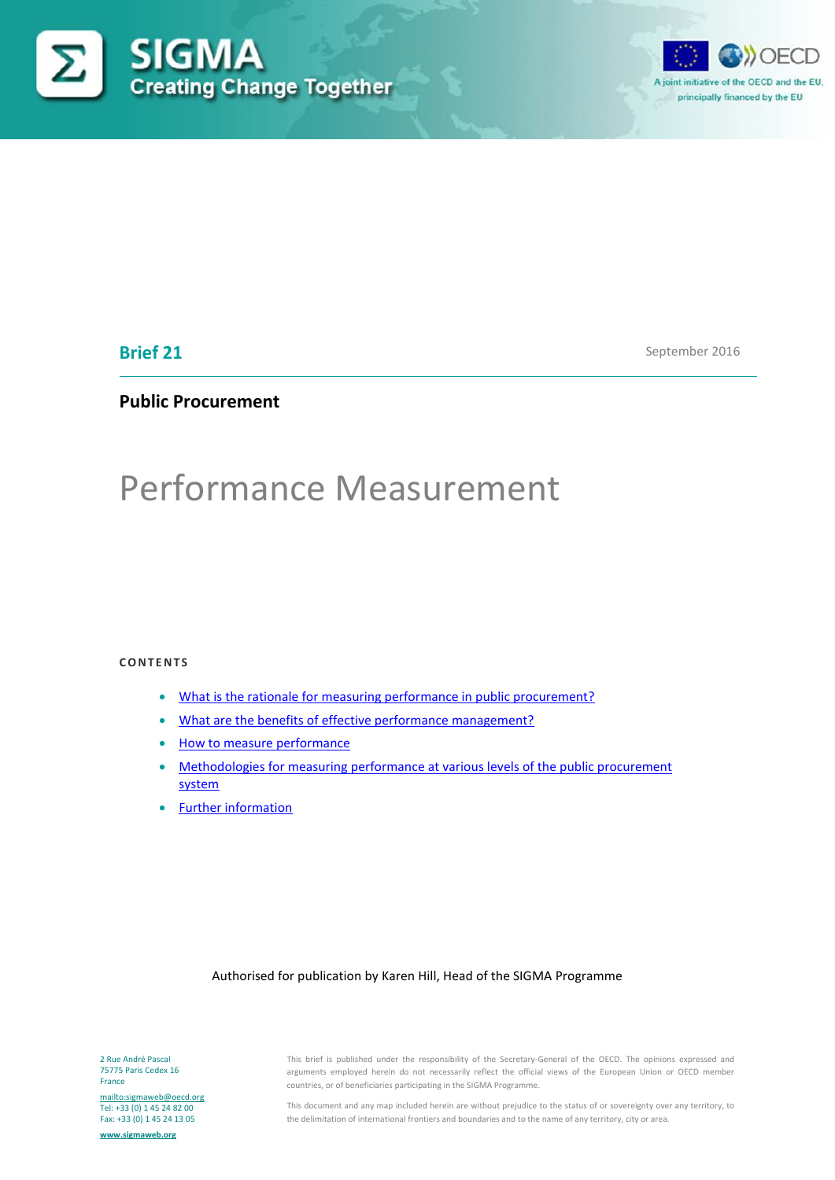



## **Brief 21**

September 2016

## **Public Procurement**

# Performance Measurement

#### **CONTENTS**

- [What is the rationale for measuring performance in public procurement?](#page-1-0)
- [What are the benefits of effective performance management?](#page-1-1)
- [How to measure performance](#page-2-0)
- [Methodologies for measuring performance at various levels of the public procurement](#page-4-0)  [system](#page-4-0)
- [Further information](#page-8-0)

#### Authorised for publication by Karen Hill, Head of the SIGMA Programme

This brief is published under the responsibility of the Secretary-General of the OECD. The opinions expressed and arguments employed herein do not necessarily reflect the official views of the European Union or OECD member countries, or of beneficiaries participating in the SIGMA Programme.

This document and any map included herein are without prejudice to the status of or sovereignty over any territory, to the delimitation of international frontiers and boundaries and to the name of any territory, city or area.

2 Rue André Pascal 75775 Paris Cedex 16 France

<mailto:sigmaweb@oecd.org> Tel: +33 (0) 1 45 24 82 00 Fax: +33 (0) 1 45 24 13 05

**[www.sigmaweb.org](http://www.sigmaweb.org/)**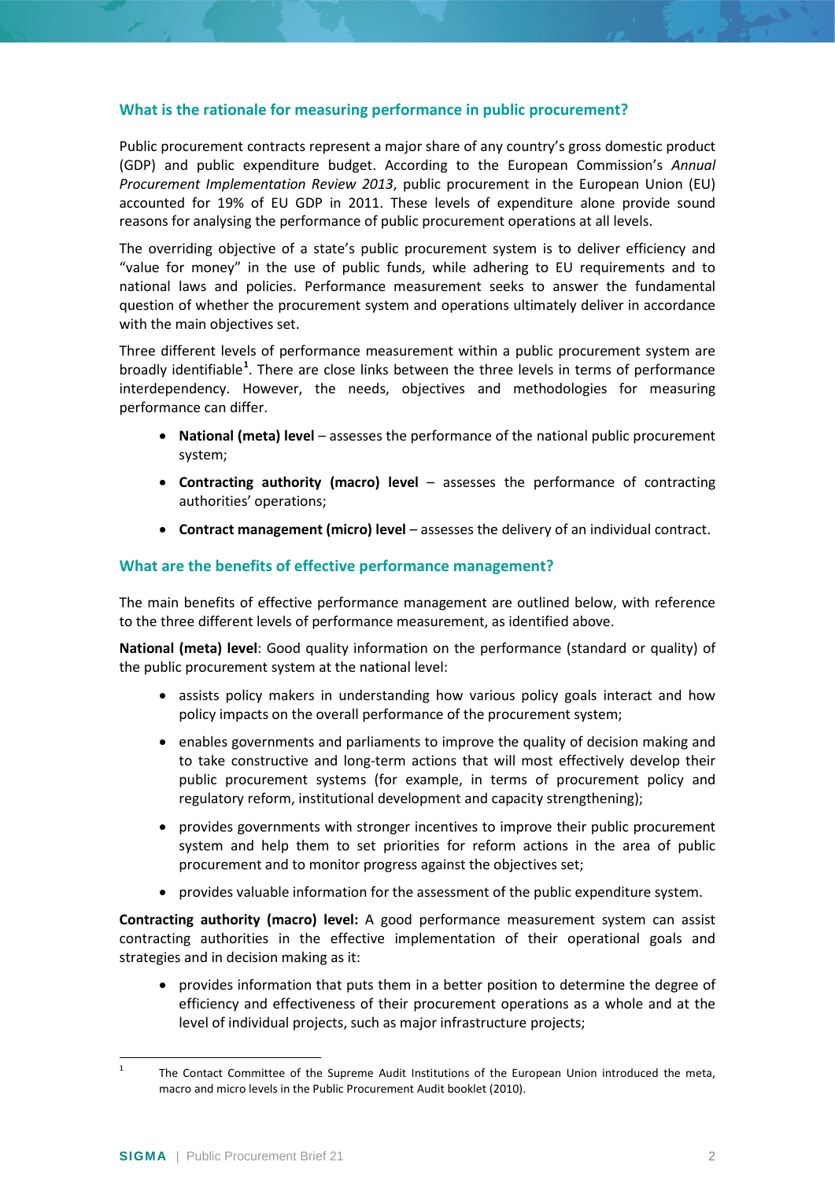## <span id="page-1-0"></span>**What is the rationale for measuring performance in public procurement?**

Public procurement contracts represent a major share of any country's gross domestic product (GDP) and public expenditure budget. According to the European Commission's *Annual Procurement Implementation Review 2013*, public procurement in the European Union (EU) accounted for 19% of EU GDP in 2011. These levels of expenditure alone provide sound reasons for analysing the performance of public procurement operations at all levels.

The overriding objective of a state's public procurement system is to deliver efficiency and "value for money" in the use of public funds, while adhering to EU requirements and to national laws and policies. Performance measurement seeks to answer the fundamental question of whether the procurement system and operations ultimately deliver in accordance with the main objectives set.

Three different levels of performance measurement within a public procurement system are broadly identifiable**[1](#page-1-2)** . There are close links between the three levels in terms of performance interdependency. However, the needs, objectives and methodologies for measuring performance can differ.

- **National (meta) level** assesses the performance of the national public procurement system;
- **Contracting authority (macro) level**  assesses the performance of contracting authorities' operations;
- **Contract management (micro) level** assesses the delivery of an individual contract.

## <span id="page-1-1"></span>**What are the benefits of effective performance management?**

The main benefits of effective performance management are outlined below, with reference to the three different levels of performance measurement, as identified above.

**National (meta) level**: Good quality information on the performance (standard or quality) of the public procurement system at the national level:

- assists policy makers in understanding how various policy goals interact and how policy impacts on the overall performance of the procurement system;
- enables governments and parliaments to improve the quality of decision making and to take constructive and long-term actions that will most effectively develop their public procurement systems (for example, in terms of procurement policy and regulatory reform, institutional development and capacity strengthening);
- provides governments with stronger incentives to improve their public procurement system and help them to set priorities for reform actions in the area of public procurement and to monitor progress against the objectives set;
- provides valuable information for the assessment of the public expenditure system.

**Contracting authority (macro) level:** A good performance measurement system can assist contracting authorities in the effective implementation of their operational goals and strategies and in decision making as it:

• provides information that puts them in a better position to determine the degree of efficiency and effectiveness of their procurement operations as a whole and at the level of individual projects, such as major infrastructure projects;

<span id="page-1-2"></span><sup>&</sup>lt;sup>1</sup> The Contact Committee of the Supreme Audit Institutions of the European Union introduced the meta, macro and micro levels in the Public Procurement Audit booklet (2010).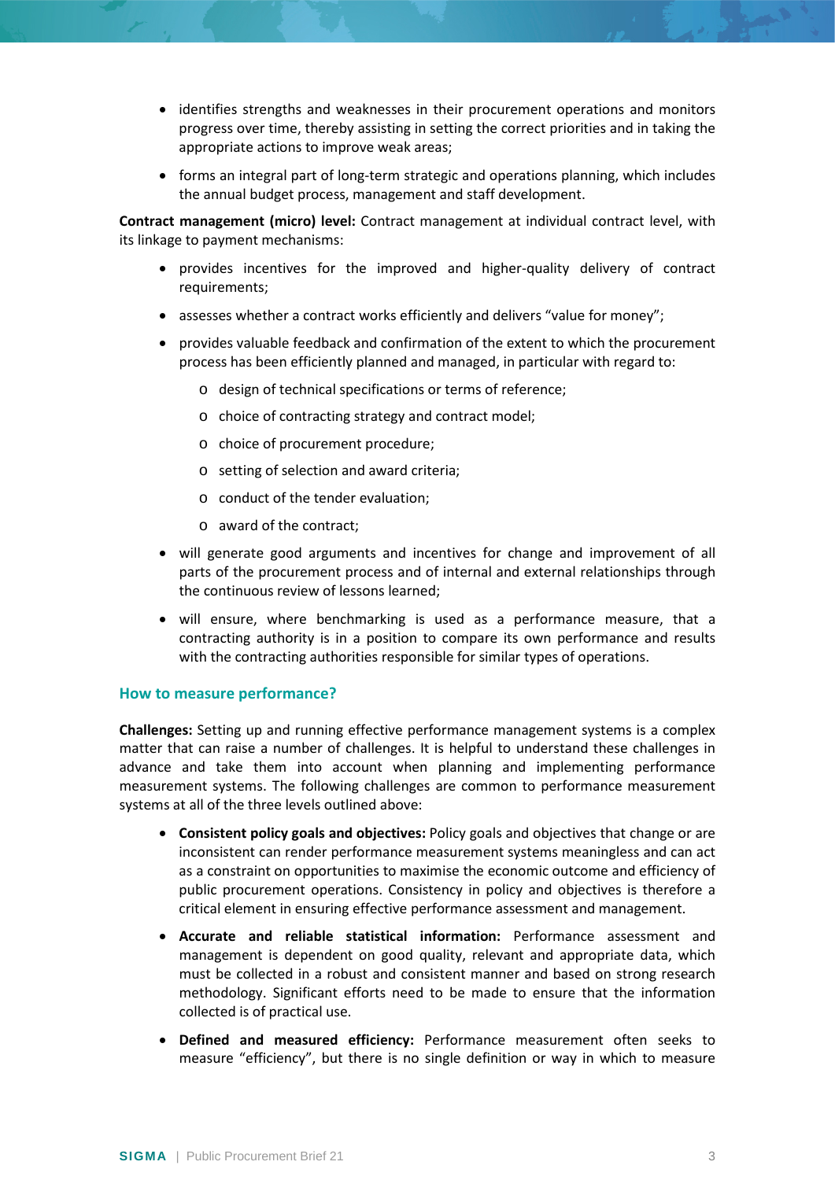- identifies strengths and weaknesses in their procurement operations and monitors progress over time, thereby assisting in setting the correct priorities and in taking the appropriate actions to improve weak areas;
- forms an integral part of long-term strategic and operations planning, which includes the annual budget process, management and staff development.

**Contract management (micro) level:** Contract management at individual contract level, with its linkage to payment mechanisms:

- provides incentives for the improved and higher-quality delivery of contract requirements;
- assesses whether a contract works efficiently and delivers "value for money";
- provides valuable feedback and confirmation of the extent to which the procurement process has been efficiently planned and managed, in particular with regard to:
	- o design of technical specifications or terms of reference;
	- o choice of contracting strategy and contract model;
	- o choice of procurement procedure;
	- o setting of selection and award criteria;
	- o conduct of the tender evaluation;
	- o award of the contract;
- will generate good arguments and incentives for change and improvement of all parts of the procurement process and of internal and external relationships through the continuous review of lessons learned;
- will ensure, where benchmarking is used as a performance measure, that a contracting authority is in a position to compare its own performance and results with the contracting authorities responsible for similar types of operations.

## <span id="page-2-0"></span>**How to measure performance?**

**Challenges:** Setting up and running effective performance management systems is a complex matter that can raise a number of challenges. It is helpful to understand these challenges in advance and take them into account when planning and implementing performance measurement systems. The following challenges are common to performance measurement systems at all of the three levels outlined above:

- **Consistent policy goals and objectives:** Policy goals and objectives that change or are inconsistent can render performance measurement systems meaningless and can act as a constraint on opportunities to maximise the economic outcome and efficiency of public procurement operations. Consistency in policy and objectives is therefore a critical element in ensuring effective performance assessment and management.
- **Accurate and reliable statistical information:** Performance assessment and management is dependent on good quality, relevant and appropriate data, which must be collected in a robust and consistent manner and based on strong research methodology. Significant efforts need to be made to ensure that the information collected is of practical use.
- **Defined and measured efficiency:** Performance measurement often seeks to measure "efficiency", but there is no single definition or way in which to measure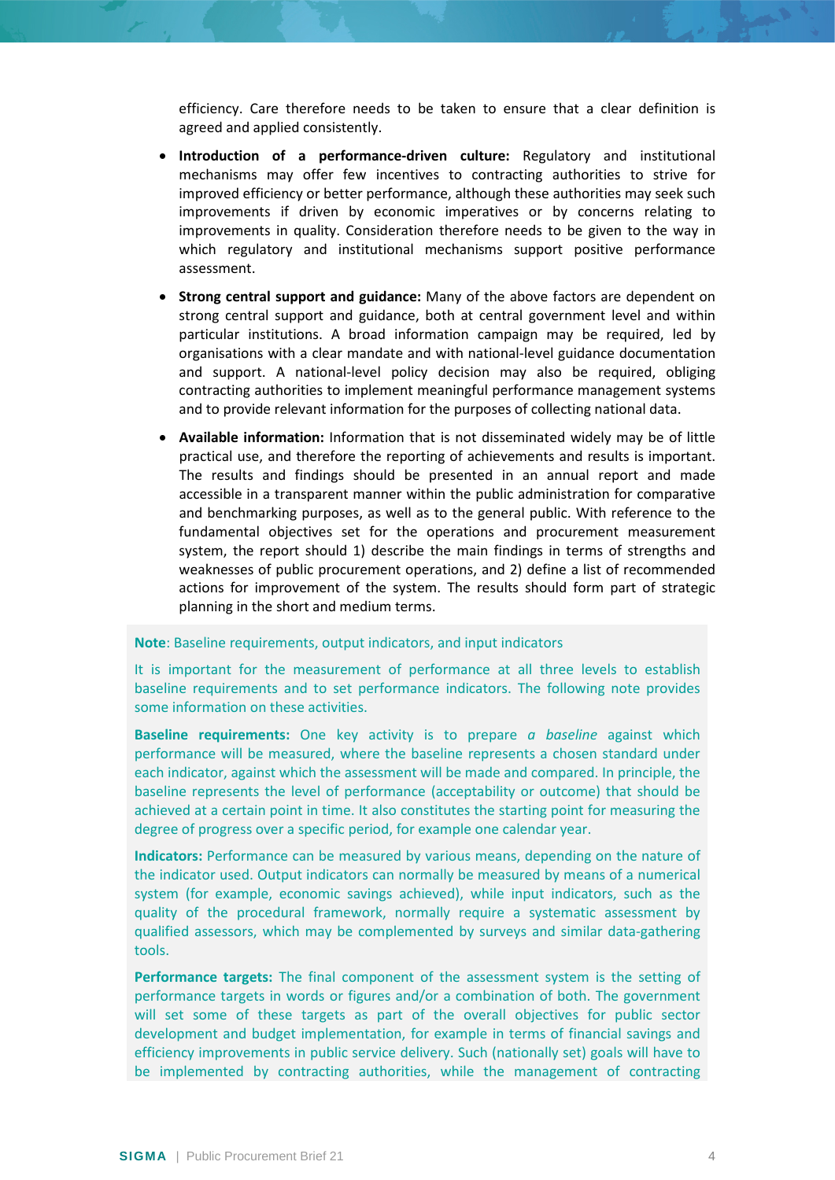efficiency. Care therefore needs to be taken to ensure that a clear definition is agreed and applied consistently.

- **Introduction of a performance-driven culture:** Regulatory and institutional mechanisms may offer few incentives to contracting authorities to strive for improved efficiency or better performance, although these authorities may seek such improvements if driven by economic imperatives or by concerns relating to improvements in quality. Consideration therefore needs to be given to the way in which regulatory and institutional mechanisms support positive performance assessment.
- **Strong central support and guidance:** Many of the above factors are dependent on strong central support and guidance, both at central government level and within particular institutions. A broad information campaign may be required, led by organisations with a clear mandate and with national-level guidance documentation and support. A national-level policy decision may also be required, obliging contracting authorities to implement meaningful performance management systems and to provide relevant information for the purposes of collecting national data.
- **Available information:** Information that is not disseminated widely may be of little practical use, and therefore the reporting of achievements and results is important. The results and findings should be presented in an annual report and made accessible in a transparent manner within the public administration for comparative and benchmarking purposes, as well as to the general public. With reference to the fundamental objectives set for the operations and procurement measurement system, the report should 1) describe the main findings in terms of strengths and weaknesses of public procurement operations, and 2) define a list of recommended actions for improvement of the system. The results should form part of strategic planning in the short and medium terms.

#### **Note**: Baseline requirements, output indicators, and input indicators

It is important for the measurement of performance at all three levels to establish baseline requirements and to set performance indicators. The following note provides some information on these activities.

**Baseline requirements:** One key activity is to prepare *a baseline* against which performance will be measured, where the baseline represents a chosen standard under each indicator, against which the assessment will be made and compared. In principle, the baseline represents the level of performance (acceptability or outcome) that should be achieved at a certain point in time. It also constitutes the starting point for measuring the degree of progress over a specific period, for example one calendar year.

**Indicators:** Performance can be measured by various means, depending on the nature of the indicator used. Output indicators can normally be measured by means of a numerical system (for example, economic savings achieved), while input indicators, such as the quality of the procedural framework, normally require a systematic assessment by qualified assessors, which may be complemented by surveys and similar data-gathering tools.

**Performance targets:** The final component of the assessment system is the setting of performance targets in words or figures and/or a combination of both. The government will set some of these targets as part of the overall objectives for public sector development and budget implementation, for example in terms of financial savings and efficiency improvements in public service delivery. Such (nationally set) goals will have to be implemented by contracting authorities, while the management of contracting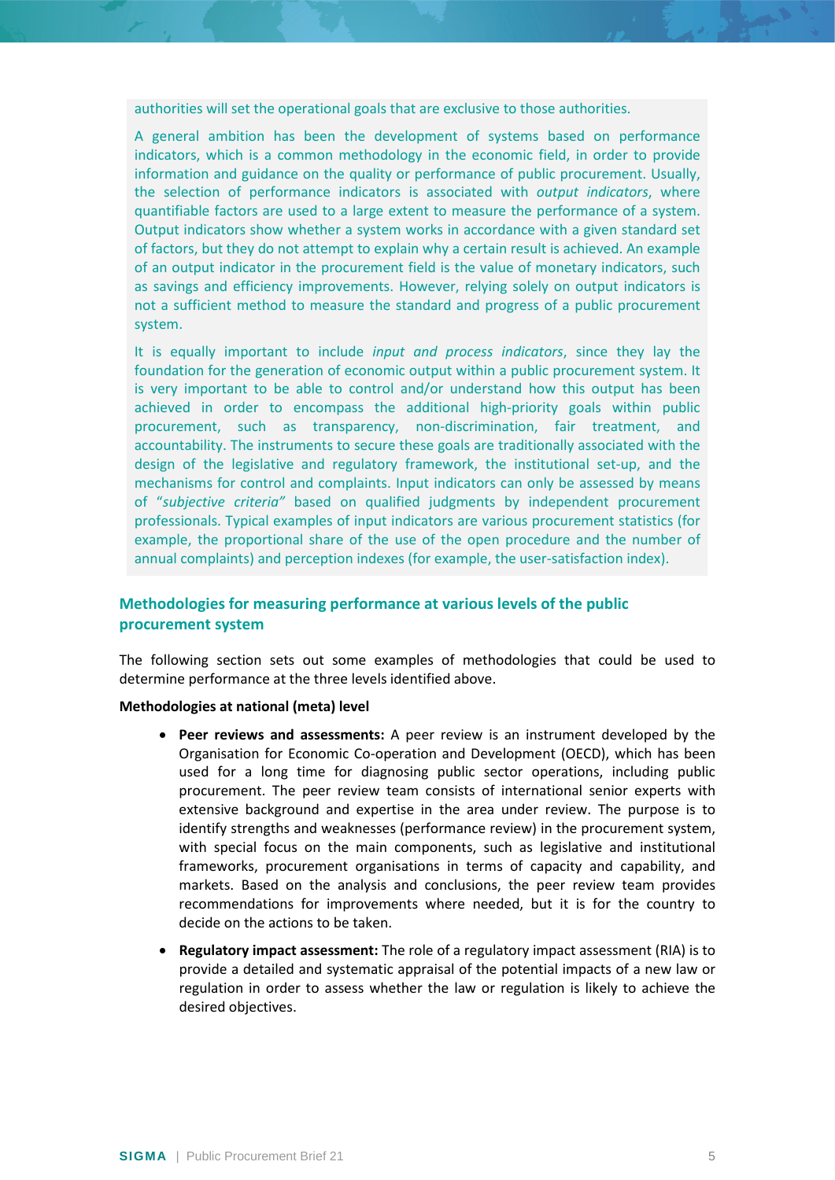authorities will set the operational goals that are exclusive to those authorities.

A general ambition has been the development of systems based on performance indicators, which is a common methodology in the economic field, in order to provide information and guidance on the quality or performance of public procurement. Usually, the selection of performance indicators is associated with *output indicators*, where quantifiable factors are used to a large extent to measure the performance of a system. Output indicators show whether a system works in accordance with a given standard set of factors, but they do not attempt to explain why a certain result is achieved. An example of an output indicator in the procurement field is the value of monetary indicators, such as savings and efficiency improvements. However, relying solely on output indicators is not a sufficient method to measure the standard and progress of a public procurement system.

It is equally important to include *input and process indicators*, since they lay the foundation for the generation of economic output within a public procurement system. It is very important to be able to control and/or understand how this output has been achieved in order to encompass the additional high-priority goals within public procurement, such as transparency, non-discrimination, fair treatment, and accountability. The instruments to secure these goals are traditionally associated with the design of the legislative and regulatory framework, the institutional set-up, and the mechanisms for control and complaints. Input indicators can only be assessed by means of "*subjective criteria"* based on qualified judgments by independent procurement professionals. Typical examples of input indicators are various procurement statistics (for example, the proportional share of the use of the open procedure and the number of annual complaints) and perception indexes (for example, the user-satisfaction index).

## <span id="page-4-0"></span>**Methodologies for measuring performance at various levels of the public procurement system**

The following section sets out some examples of methodologies that could be used to determine performance at the three levels identified above.

#### **Methodologies at national (meta) level**

- **Peer reviews and assessments:** A peer review is an instrument developed by the Organisation for Economic Co-operation and Development (OECD), which has been used for a long time for diagnosing public sector operations, including public procurement. The peer review team consists of international senior experts with extensive background and expertise in the area under review. The purpose is to identify strengths and weaknesses (performance review) in the procurement system, with special focus on the main components, such as legislative and institutional frameworks, procurement organisations in terms of capacity and capability, and markets. Based on the analysis and conclusions, the peer review team provides recommendations for improvements where needed, but it is for the country to decide on the actions to be taken.
- **Regulatory impact assessment:** The role of a regulatory impact assessment (RIA) is to provide a detailed and systematic appraisal of the potential impacts of a new law or regulation in order to assess whether the law or regulation is likely to achieve the desired objectives.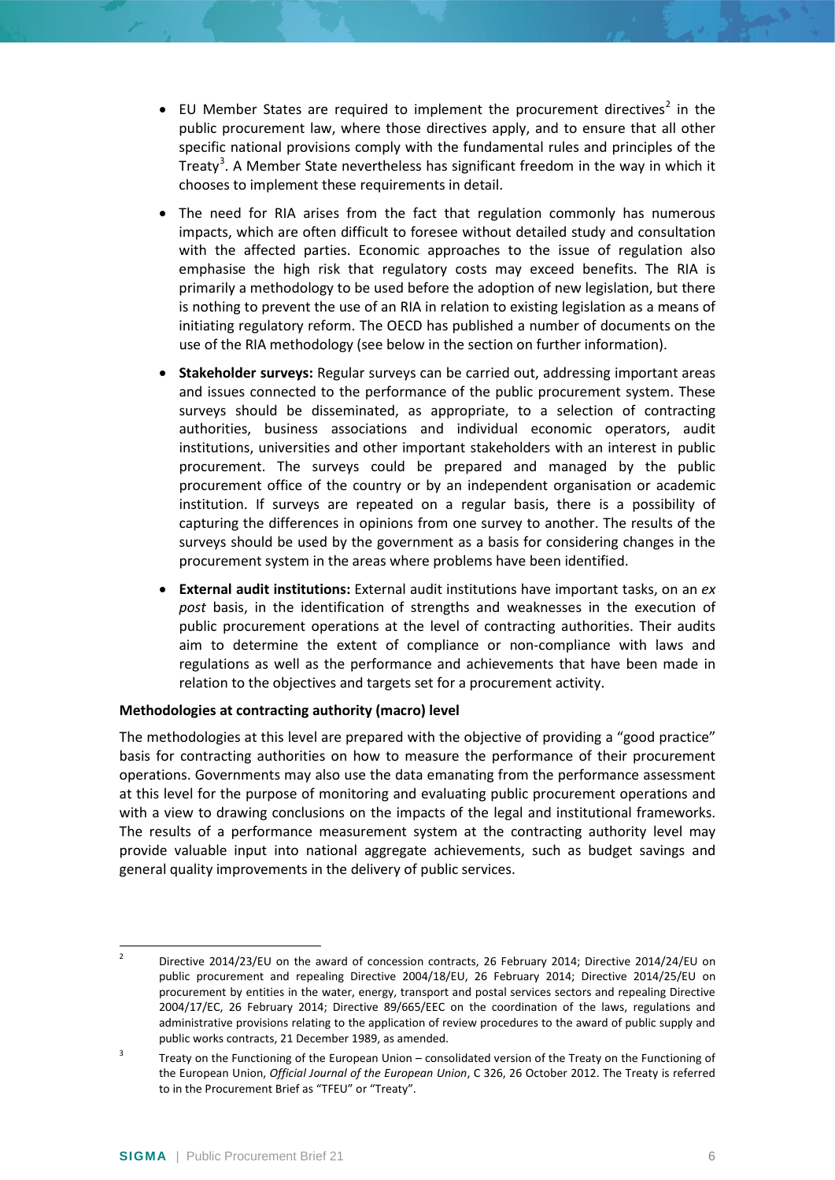- EU Member States are required to implement the procurement directives<sup>[2](#page-5-0)</sup> in the public procurement law, where those directives apply, and to ensure that all other specific national provisions comply with the fundamental rules and principles of the Treaty<sup>[3](#page-5-1)</sup>. A Member State nevertheless has significant freedom in the way in which it chooses to implement these requirements in detail.
- The need for RIA arises from the fact that regulation commonly has numerous impacts, which are often difficult to foresee without detailed study and consultation with the affected parties. Economic approaches to the issue of regulation also emphasise the high risk that regulatory costs may exceed benefits. The RIA is primarily a methodology to be used before the adoption of new legislation, but there is nothing to prevent the use of an RIA in relation to existing legislation as a means of initiating regulatory reform. The OECD has published a number of documents on the use of the RIA methodology (see below in the section on further information).
- **Stakeholder surveys:** Regular surveys can be carried out, addressing important areas and issues connected to the performance of the public procurement system. These surveys should be disseminated, as appropriate, to a selection of contracting authorities, business associations and individual economic operators, audit institutions, universities and other important stakeholders with an interest in public procurement. The surveys could be prepared and managed by the public procurement office of the country or by an independent organisation or academic institution. If surveys are repeated on a regular basis, there is a possibility of capturing the differences in opinions from one survey to another. The results of the surveys should be used by the government as a basis for considering changes in the procurement system in the areas where problems have been identified.
- **External audit institutions:** External audit institutions have important tasks, on an *ex post* basis, in the identification of strengths and weaknesses in the execution of public procurement operations at the level of contracting authorities. Their audits aim to determine the extent of compliance or non-compliance with laws and regulations as well as the performance and achievements that have been made in relation to the objectives and targets set for a procurement activity.

## **Methodologies at contracting authority (macro) level**

The methodologies at this level are prepared with the objective of providing a "good practice" basis for contracting authorities on how to measure the performance of their procurement operations. Governments may also use the data emanating from the performance assessment at this level for the purpose of monitoring and evaluating public procurement operations and with a view to drawing conclusions on the impacts of the legal and institutional frameworks. The results of a performance measurement system at the contracting authority level may provide valuable input into national aggregate achievements, such as budget savings and general quality improvements in the delivery of public services.

<span id="page-5-0"></span><sup>&</sup>lt;sup>2</sup> Directive 2014/23/EU on the award of concession contracts, 26 February 2014; Directive 2014/24/EU on public procurement and repealing Directive 2004/18/EU, 26 February 2014; Directive 2014/25/EU on procurement by entities in the water, energy, transport and postal services sectors and repealing Directive 2004/17/EC, 26 February 2014; Directive 89/665/EEC on the coordination of the laws, regulations and administrative provisions relating to the application of review procedures to the award of public supply and public works contracts, 21 December 1989, as amended.

<span id="page-5-1"></span> $3$  Treaty on the Functioning of the European Union – consolidated version of the Treaty on the Functioning of the European Union, *Official Journal of the European Union*, C 326, 26 October 2012. The Treaty is referred to in the Procurement Brief as "TFEU" or "Treaty".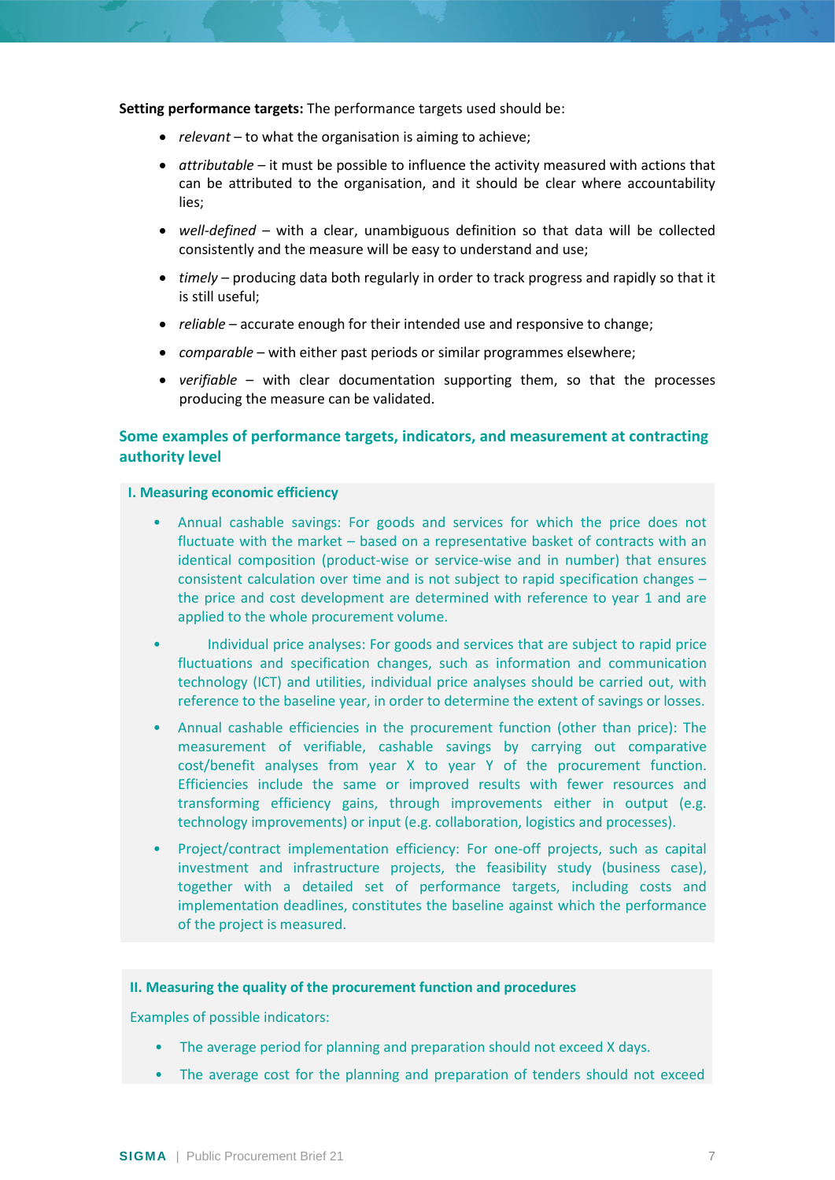**Setting performance targets:** The performance targets used should be:

- *relevant* to what the organisation is aiming to achieve;
- *attributable* it must be possible to influence the activity measured with actions that can be attributed to the organisation, and it should be clear where accountability lies;
- *well-defined* with a clear, unambiguous definition so that data will be collected consistently and the measure will be easy to understand and use;
- *timely* producing data both regularly in order to track progress and rapidly so that it is still useful;
- *reliable* accurate enough for their intended use and responsive to change;
- *comparable* with either past periods or similar programmes elsewhere;
- *verifiable* with clear documentation supporting them, so that the processes producing the measure can be validated.

## **Some examples of performance targets, indicators, and measurement at contracting authority level**

#### **I. Measuring economic efficiency**

- Annual cashable savings: For goods and services for which the price does not fluctuate with the market – based on a representative basket of contracts with an identical composition (product-wise or service-wise and in number) that ensures consistent calculation over time and is not subject to rapid specification changes – the price and cost development are determined with reference to year 1 and are applied to the whole procurement volume.
- Individual price analyses: For goods and services that are subject to rapid price fluctuations and specification changes, such as information and communication technology (ICT) and utilities, individual price analyses should be carried out, with reference to the baseline year, in order to determine the extent of savings or losses.
- Annual cashable efficiencies in the procurement function (other than price): The measurement of verifiable, cashable savings by carrying out comparative cost/benefit analyses from year X to year Y of the procurement function. Efficiencies include the same or improved results with fewer resources and transforming efficiency gains, through improvements either in output (e.g. technology improvements) or input (e.g. collaboration, logistics and processes).
- Project/contract implementation efficiency: For one-off projects, such as capital investment and infrastructure projects, the feasibility study (business case), together with a detailed set of performance targets, including costs and implementation deadlines, constitutes the baseline against which the performance of the project is measured.

### **II. Measuring the quality of the procurement function and procedures**

Examples of possible indicators:

- The average period for planning and preparation should not exceed X days.
- The average cost for the planning and preparation of tenders should not exceed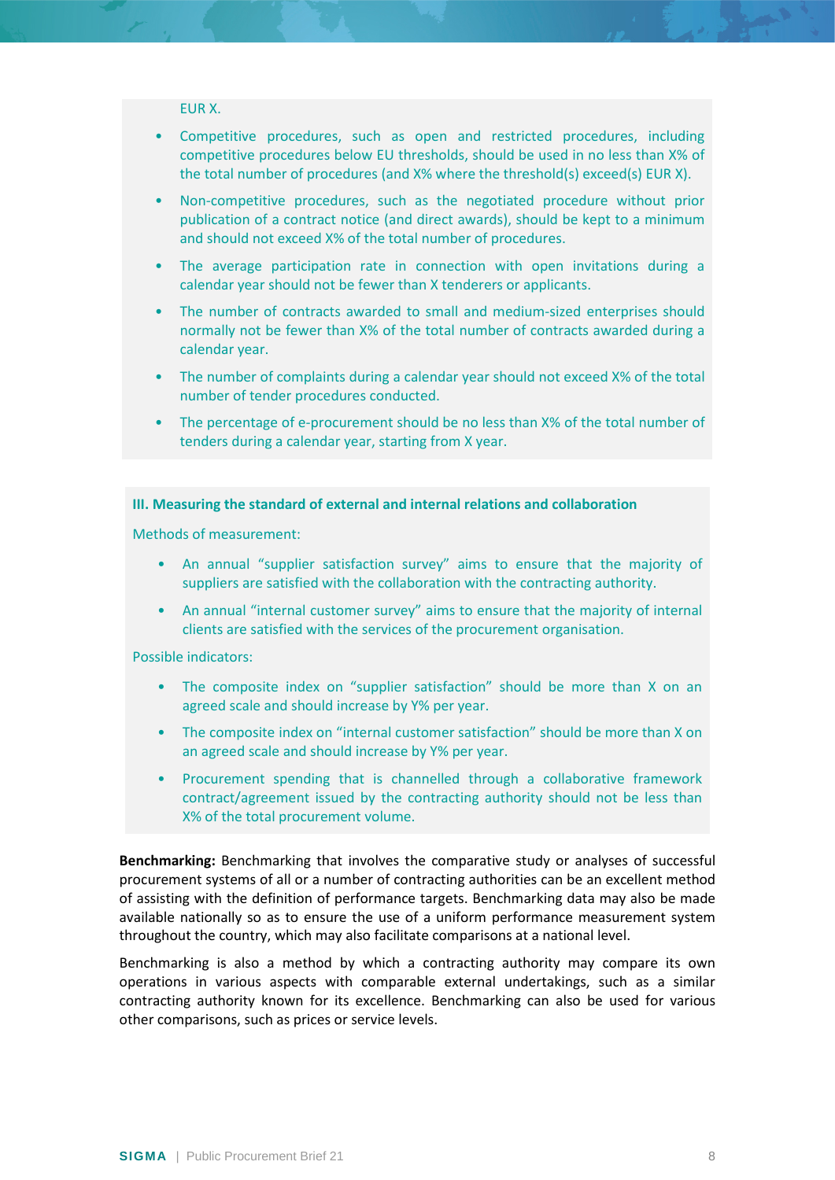### EUR X.

- Competitive procedures, such as open and restricted procedures, including competitive procedures below EU thresholds, should be used in no less than X% of the total number of procedures (and X% where the threshold(s) exceed(s) EUR X).
- Non-competitive procedures, such as the negotiated procedure without prior publication of a contract notice (and direct awards), should be kept to a minimum and should not exceed X% of the total number of procedures.
- The average participation rate in connection with open invitations during a calendar year should not be fewer than X tenderers or applicants.
- The number of contracts awarded to small and medium-sized enterprises should normally not be fewer than X% of the total number of contracts awarded during a calendar year.
- The number of complaints during a calendar year should not exceed X% of the total number of tender procedures conducted.
- The percentage of e-procurement should be no less than X% of the total number of tenders during a calendar year, starting from X year.

### **III. Measuring the standard of external and internal relations and collaboration**

Methods of measurement:

- An annual "supplier satisfaction survey" aims to ensure that the majority of suppliers are satisfied with the collaboration with the contracting authority.
- An annual "internal customer survey" aims to ensure that the majority of internal clients are satisfied with the services of the procurement organisation.

Possible indicators:

- The composite index on "supplier satisfaction" should be more than X on an agreed scale and should increase by Y% per year.
- The composite index on "internal customer satisfaction" should be more than X on an agreed scale and should increase by Y% per year.
- Procurement spending that is channelled through a collaborative framework contract/agreement issued by the contracting authority should not be less than X% of the total procurement volume.

**Benchmarking:** Benchmarking that involves the comparative study or analyses of successful procurement systems of all or a number of contracting authorities can be an excellent method of assisting with the definition of performance targets. Benchmarking data may also be made available nationally so as to ensure the use of a uniform performance measurement system throughout the country, which may also facilitate comparisons at a national level.

Benchmarking is also a method by which a contracting authority may compare its own operations in various aspects with comparable external undertakings, such as a similar contracting authority known for its excellence. Benchmarking can also be used for various other comparisons, such as prices or service levels.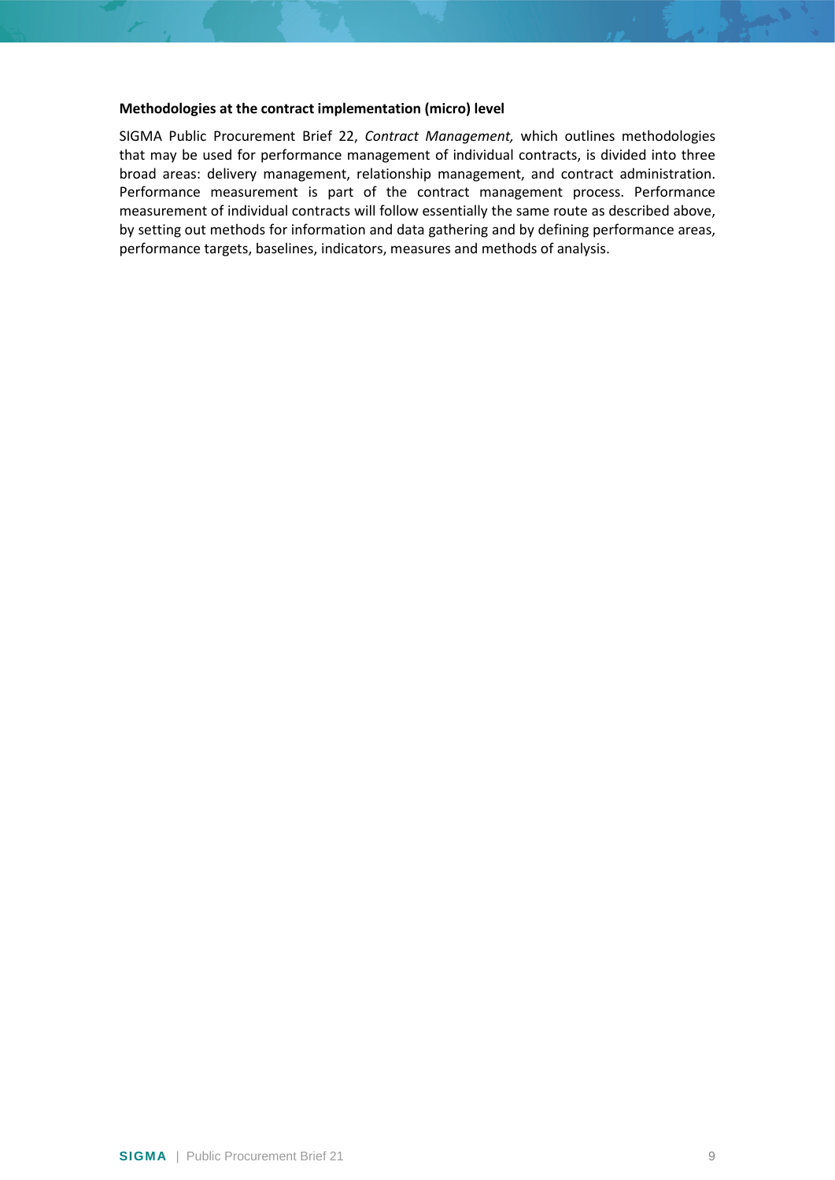#### **Methodologies at the contract implementation (micro) level**

<span id="page-8-0"></span>SIGMA Public Procurement Brief 22, *Contract Management,* which outlines methodologies that may be used for performance management of individual contracts, is divided into three broad areas: delivery management, relationship management, and contract administration. Performance measurement is part of the contract management process. Performance measurement of individual contracts will follow essentially the same route as described above, by setting out methods for information and data gathering and by defining performance areas, performance targets, baselines, indicators, measures and methods of analysis.